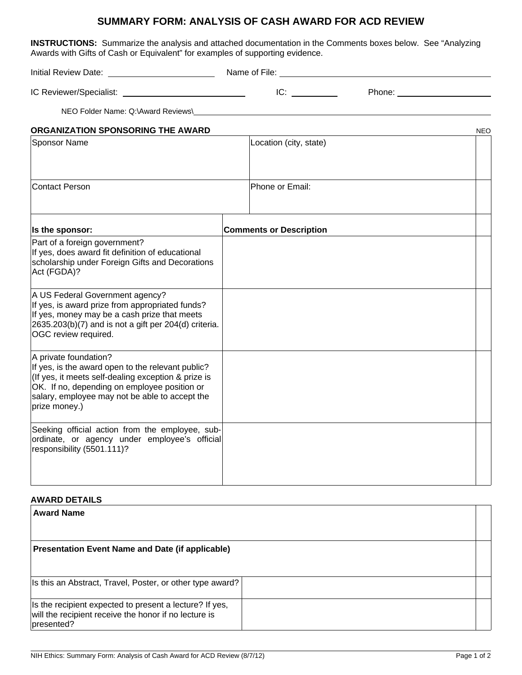## **SUMMARY FORM: ANALYSIS OF CASH AWARD FOR ACD REVIEW**

**INSTRUCTIONS:** Summarize the analysis and attached documentation in the Comments boxes below. See "Analyzing Awards with Gifts of Cash or Equivalent" for examples of supporting evidence.

Initial Review Date: Name of File: IC Reviewer/Specialist: \_\_\_\_\_\_\_\_\_\_\_\_\_\_\_\_\_\_\_\_\_\_\_\_\_\_\_\_\_\_ IC: \_\_\_\_\_\_\_\_\_\_\_\_\_\_\_\_\_\_\_\_ Phone: \_\_\_\_\_\_\_\_\_\_\_\_\_\_\_\_\_\_\_\_ NEO Folder Name: Q:\Award Reviews\ **ORGANIZATION SPONSORING THE AWARD** NEO Sponsor Name **Location** (city, state) Contact Person **Phone of Email: Is the sponsor:** Comments or Description Part of a foreign government? If yes, does award fit definition of educational scholarship under Foreign Gifts and Decorations Act (FGDA)? A US Federal Government agency? If yes, is award prize from appropriated funds? If yes, money may be a cash prize that meets 2635.203(b)(7) and is not a gift per 204(d) criteria. OGC review required. A private foundation? If yes, is the award open to the relevant public? (If yes, it meets self-dealing exception & prize is OK. If no, depending on employee position or salary, employee may not be able to accept the prize money.) Seeking official action from the employee, subordinate, or agency under employee's official responsibility (5501.111)?

## **AWARD DETAILS**

| <b>Award Name</b>                                                                                                              |  |
|--------------------------------------------------------------------------------------------------------------------------------|--|
|                                                                                                                                |  |
| <b>Presentation Event Name and Date (if applicable)</b>                                                                        |  |
|                                                                                                                                |  |
| Is this an Abstract, Travel, Poster, or other type award?                                                                      |  |
| Is the recipient expected to present a lecture? If yes,<br>will the recipient receive the honor if no lecture is<br>presented? |  |